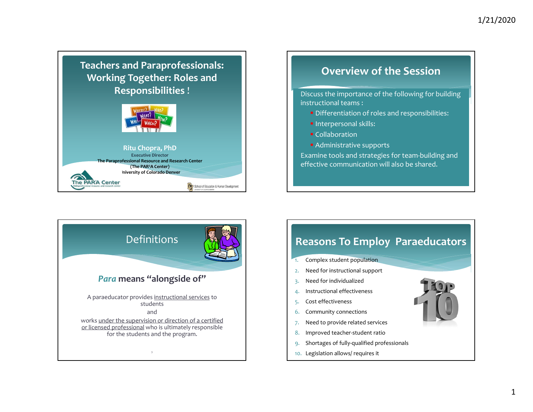## **Teachers and Paraprofessionals: Working Together: Roles and Responsibilities** !



#### **Ritu Chopra, PhD Executive Director The Paraprofessional Resource and Research Center (The PAR2A Center) University of Colorado Denver The PAR'A Center CH** School of Education & Human Development

## **Overview of the Session**

 Discuss the importance of the following for building instructional teams :

- **Differentiation of roles and responsibilities:**
- **Interpersonal skills:**
- Collaboration
- Administrative supports

 Examine tools and strategies for team‐building and effective communication will also be shared.



## **Reasons To Employ Paraeducators**

- 1.Complex student population
- 2.Need for instructional suppor<sup>t</sup>
- 3. Need for individualized
- 4. Instructional effectiveness
- 5. Cost effectiveness
- 6.Community connections
- 7. Need to provide related services
- 8.Improved teacher‐student ratio
- 9. Shortages of fully‐qualified professionals
- 10. Legislation allows/ requires it

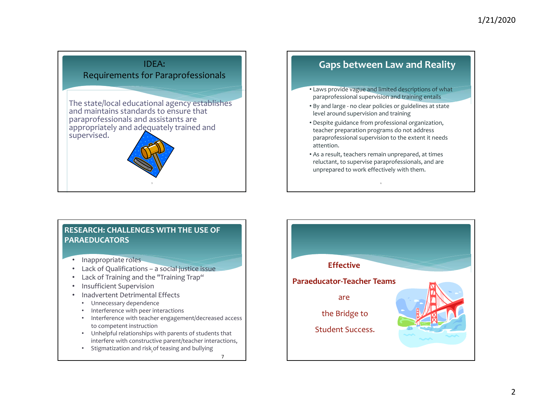

## **Gaps between Law and Reality**

- Laws provide vague and limited descriptions of what paraprofessional supervision and training entails
- By and large ‐ no clear policies or guidelines at state level around supervision and training
- Despite guidance from professional organization, teacher preparation programs do not address paraprofessional supervision to the extent it needs attention.
- As a result, teachers remain unprepared, at times reluctant, to supervise paraprofessionals, and are unprepared to work effectively with them.

#### **RESEARCH: CHALLENGES WITH THE USE OF PARAEDUCATORS**

- Inappropriate roles
- •Lack of Qualifications – <sup>a</sup> social justice issue
- Lack of Training and the "Training Trap"
- •• Insufficient Supervision
- •• Inadvertent Detrimental Effects
	- Unnecessary dependence
	- Interference with peer interactions
	- • Interference with teacher engagement/decreased access to competent instruction
	- Unhelpful relationships with parents of students that interfere with constructive parent/teacher interactions,
	- Stigmatization and risk of teasing and bullying

7

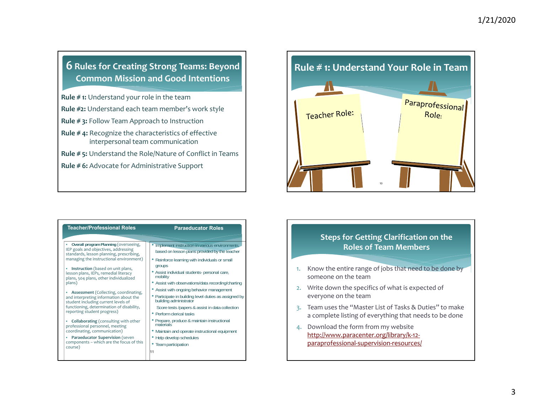### **6 Rules for Creating Strong Teams: Beyond Common Mission and Good Intentions**

**Rule # 1:** Understand your role in the team

**Rule #2:** Understand each team member's work style

**Rule # 3:** Follow Team Approach to Instruction

**Rule # 4:** Recognize the characteristics of effective interpersonal team communication

**Rule # 5:** Understand the Role/Nature of Conflict in Teams

**Rule # 6:** Advocate for Administrative Support

| <b>Teacher/Professional Roles</b>                                                                                                                                                                              | <b>Paraeducator Roles</b>                                                       |
|----------------------------------------------------------------------------------------------------------------------------------------------------------------------------------------------------------------|---------------------------------------------------------------------------------|
| Overall program Planning (overseeing,                                                                                                                                                                          | • Implement instruction in various environments,                                |
| IEP goals and objectives, addressing<br>standards, lesson planning, prescribing,                                                                                                                               | based on lesson plans provided by the teacher                                   |
| managing the instructional environment)                                                                                                                                                                        | • Reinforce learning with individuals or small<br>groups                        |
| Instruction (based on unit plans,<br>٠<br>lesson plans, IEPs, remedial literacy<br>plans, 504 plans, other individualized<br>plans)                                                                            | • Assist individual students- personal care,<br>mobility                        |
|                                                                                                                                                                                                                | • Assist with observations/data recording/charting                              |
| <b>Assessment</b> (Collecting, coordinating,<br>٠<br>and interpreting information about the<br>student including current levels of<br>functioning, determination of disability,<br>reporting student progress) | • Assist with ongoing behavior management                                       |
|                                                                                                                                                                                                                | • Participate in building level duties as assigned by<br>building administrator |
|                                                                                                                                                                                                                | Score tests /papers & assist in data collection                                 |
|                                                                                                                                                                                                                | • Perform clerical tasks                                                        |
| <b>Collaborating</b> (consulting with other<br>٠<br>professional personnel, meeting<br>coordinating, communication)                                                                                            | • Prepare, produce & maintain instructional<br>materials                        |
|                                                                                                                                                                                                                | • Maintain and operate instructional equipment                                  |
| Paraeducator Supervision (seven<br>components - which are the focus of this<br>course)                                                                                                                         | • Help develop schedules                                                        |
|                                                                                                                                                                                                                | • Team participation                                                            |
|                                                                                                                                                                                                                | 11                                                                              |

# **Rule # 1: Understand Your Role in Team**Paraprofessional Teacher Role: Role. 10

#### **Steps for Getting Clarification on the Roles of Team Members**

- 1. Know the entire range of jobs that need to be done by someone on the team
- 2. Write down the specifics of what is expected of everyone on the team
- 3. Team uses the "Master List of Tasks & Duties" to make a complete listing of everything that needs to be done
- 4. Download the form from my website http://www.paracenter.org/library/k‐12‐ paraprofessional‐supervision‐resources/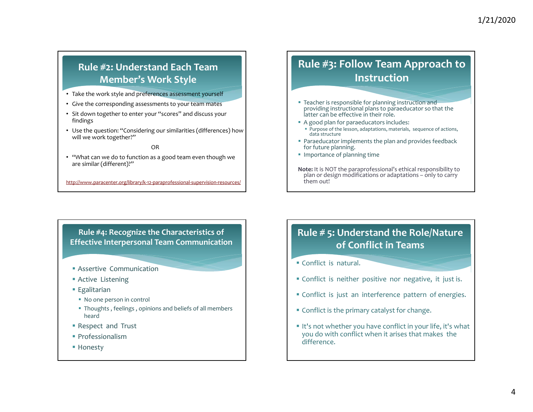## **Rule #2: Understand Each TeamMember's Work Style**

- Take the work style and preferences assessment yourself
- Give the corresponding assessments to your team mates
- Sit down together to enter your "scores" and discuss your findings
- Use the question: "Considering our similarities (differences) how will we work together?"

OR

• "What can we do to function as <sup>a</sup> good team even though we are similar (different)?"

http://www.paracenter.org/library/k‐12‐paraprofessional‐supervision‐resources/

## **Rule #3: Follow Team Approach to Instruction**

- **Teacher is responsible for planning instruction and** providing instructional plans to paraeducator so that the latter can be effective in their role.
- A good plan for paraeducators includes:
- Purpose of the lesson, adaptations, materials, sequence of actions, data structure
- Paraeducator implements the plan and provides feedback for future planning.
- **Importance of planning time**
- **Note:** It is NOT the paraprofessional's ethical responsibility to plan or design modifications or adaptations – only to carry them out!

**Rule #4: Recognize the Characteristics of Effective Interpersonal Team Communication**

- Assertive Communication
- Active Listening
- **Egalitarian**
- No one person in control
- Thoughts , feelings , opinions and beliefs of all members heard
- Respect and Trust
- **•** Professionalism
- Honesty

## **Rule # 5: Understand the Role/Nature of Conflict in Teams**

- Conflict is natural.
- Conflict is neither positive nor negative, it just is.
- Conflict is just an interference pattern of energies.
- Conflict is the primary catalyst for change.
- It's not whether you have conflict in your life, it's what you do with conflict when it arises that makes the difference.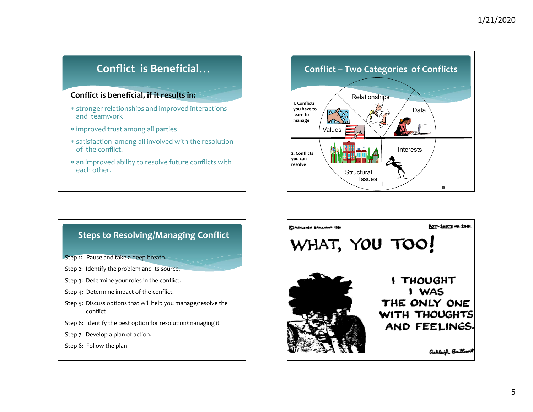## **Conflict is Beneficial**

#### **Conflict is beneficial, if it results in:**

- stronger relationships and improved interactions and teamwork
- improved trust among all parties
- satisfaction among all involved with the resolution of the conflict.
- an improved ability to resolve future conflicts with each other.



#### **Steps to Resolving/Managing Conflict**

- Step 1: Pause and take <sup>a</sup> deep breath.
- Step 2: Identify the problem and its source.
- Step 3: Determine your roles in the conflict.
- Step 4: Determine impact of the conflict.
- Step 5: Discuss options that will help you manage/resolve the conflict
- Step 6: Identify the best option for resolution/managing it
- Step 7: Develop <sup>a</sup> plan of action.
- Step 8: Follow the plan